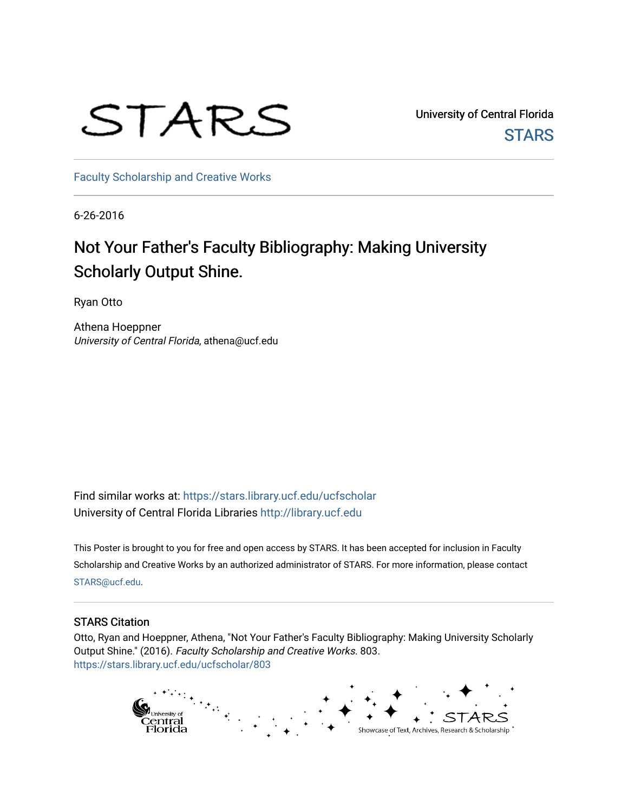## STARS

University of Central Florida **STARS** 

[Faculty Scholarship and Creative Works](https://stars.library.ucf.edu/ucfscholar) 

6-26-2016

## Not Your Father's Faculty Bibliography: Making University Scholarly Output Shine.

Ryan Otto

Athena Hoeppner University of Central Florida, athena@ucf.edu

Find similar works at: <https://stars.library.ucf.edu/ucfscholar> University of Central Florida Libraries [http://library.ucf.edu](http://library.ucf.edu/) 

This Poster is brought to you for free and open access by STARS. It has been accepted for inclusion in Faculty Scholarship and Creative Works by an authorized administrator of STARS. For more information, please contact [STARS@ucf.edu](mailto:STARS@ucf.edu).

## STARS Citation

Otto, Ryan and Hoeppner, Athena, "Not Your Father's Faculty Bibliography: Making University Scholarly Output Shine." (2016). Faculty Scholarship and Creative Works. 803. [https://stars.library.ucf.edu/ucfscholar/803](https://stars.library.ucf.edu/ucfscholar/803?utm_source=stars.library.ucf.edu%2Fucfscholar%2F803&utm_medium=PDF&utm_campaign=PDFCoverPages)